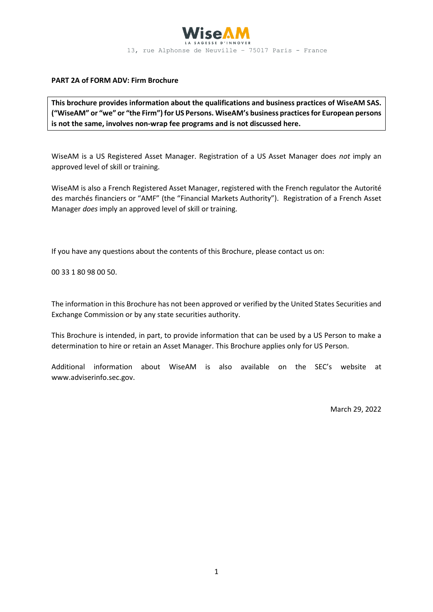

#### **PART 2A of FORM ADV: Firm Brochure**

**This brochure provides information about the qualifications and business practices of WiseAM SAS. ("WiseAM" or "we" or "the Firm") for US Persons. WiseAM's business practices for European persons is not the same, involves non-wrap fee programs and is not discussed here.**

WiseAM is a US Registered Asset Manager. Registration of a US Asset Manager does *not* imply an approved level of skill or training.

WiseAM is also a French Registered Asset Manager, registered with the French regulator the Autorité des marchés financiers or "AMF" (the "Financial Markets Authority"). Registration of a French Asset Manager *does* imply an approved level of skill or training.

If you have any questions about the contents of this Brochure, please contact us on:

00 33 1 80 98 00 50.

The information in this Brochure has not been approved or verified by the United States Securities and Exchange Commission or by any state securities authority.

This Brochure is intended, in part, to provide information that can be used by a US Person to make a determination to hire or retain an Asset Manager. This Brochure applies only for US Person.

Additional information about WiseAM is also available on the SEC's website at www.adviserinfo.sec.gov.

March 29, 2022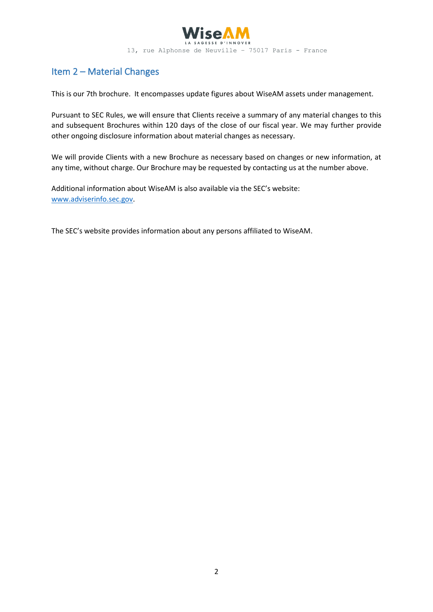

# Item 2 – Material Changes

This is our 7th brochure. It encompasses update figures about WiseAM assets under management.

Pursuant to SEC Rules, we will ensure that Clients receive a summary of any material changes to this and subsequent Brochures within 120 days of the close of our fiscal year. We may further provide other ongoing disclosure information about material changes as necessary.

We will provide Clients with a new Brochure as necessary based on changes or new information, at any time, without charge. Our Brochure may be requested by contacting us at the number above.

Additional information about WiseAM is also available via the SEC's website: [www.adviserinfo.sec.gov.](http://www.adviserinfo.sec.gov/)

The SEC's website provides information about any persons affiliated to WiseAM.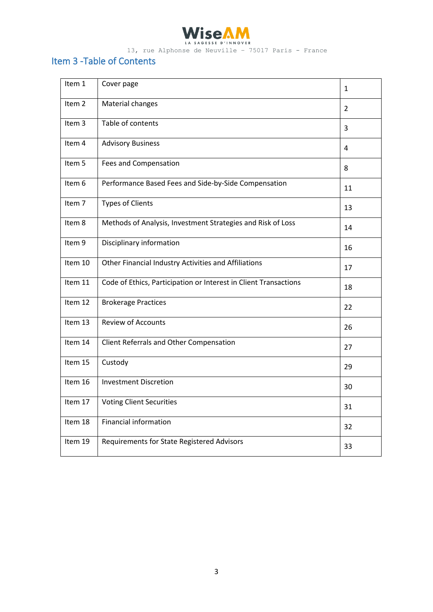

# Item 3 -Table of Contents

| Item 1            | Cover page                                                       | $\mathbf{1}$ |
|-------------------|------------------------------------------------------------------|--------------|
| Item <sub>2</sub> | Material changes                                                 | 2            |
| Item 3            | Table of contents                                                | 3            |
| Item 4            | <b>Advisory Business</b>                                         | 4            |
| Item 5            | <b>Fees and Compensation</b>                                     | 8            |
| Item 6            | Performance Based Fees and Side-by-Side Compensation             | 11           |
| Item 7            | <b>Types of Clients</b>                                          | 13           |
| Item 8            | Methods of Analysis, Investment Strategies and Risk of Loss      | 14           |
| Item 9            | Disciplinary information                                         | 16           |
| Item 10           | Other Financial Industry Activities and Affiliations             | 17           |
| Item 11           | Code of Ethics, Participation or Interest in Client Transactions | 18           |
| Item 12           | <b>Brokerage Practices</b>                                       | 22           |
| Item 13           | <b>Review of Accounts</b>                                        | 26           |
| Item 14           | Client Referrals and Other Compensation                          | 27           |
| Item 15           | Custody                                                          | 29           |
| Item 16           | <b>Investment Discretion</b>                                     | 30           |
| Item 17           | <b>Voting Client Securities</b>                                  | 31           |
| Item 18           | <b>Financial information</b>                                     | 32           |
| Item 19           | Requirements for State Registered Advisors                       | 33           |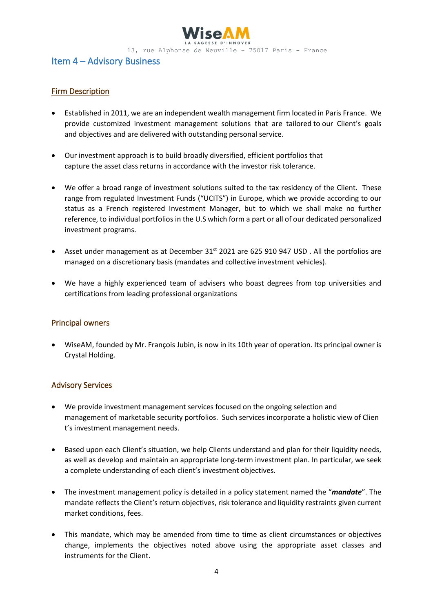

## Item 4 – Advisory Business

### Firm Description

- Established in 2011, we are an independent wealth management firm located in Paris France. We provide customized investment management solutions that are tailored to our Client's goals and objectives and are delivered with outstanding personal service.
- Our investment approach is to build broadly diversified, efficient portfolios that capture the asset class returns in accordance with the investor risk tolerance.
- We offer a broad range of investment solutions suited to the tax residency of the Client. These range from regulated Investment Funds ("UCITS") in Europe, which we provide according to our status as a French registered Investment Manager, but to which we shall make no further reference, to individual portfolios in the U.S which form a part or all of our dedicated personalized investment programs.
- Asset under management as at December  $31<sup>st</sup>$  2021 are 625 910 947 USD. All the portfolios are managed on a discretionary basis (mandates and collective investment vehicles).
- We have a highly experienced team of advisers who boast degrees from top universities and certifications from leading professional organizations

#### Principal owners

• WiseAM, founded by Mr. François Jubin, is now in its 10th year of operation. Its principal owner is Crystal Holding.

#### Advisory Services

- We provide investment management services focused on the ongoing selection and management of marketable security portfolios. Such services incorporate a holistic view of Clien t's investment management needs.
- Based upon each Client's situation, we help Clients understand and plan for their liquidity needs, as well as develop and maintain an appropriate long‐term investment plan. In particular, we seek a complete understanding of each client's investment objectives.
- The investment management policy is detailed in a policy statement named the "*mandate*". The mandate reflects the Client's return objectives, risk tolerance and liquidity restraints given current market conditions, fees.
- This mandate, which may be amended from time to time as client circumstances or objectives change, implements the objectives noted above using the appropriate asset classes and instruments for the Client.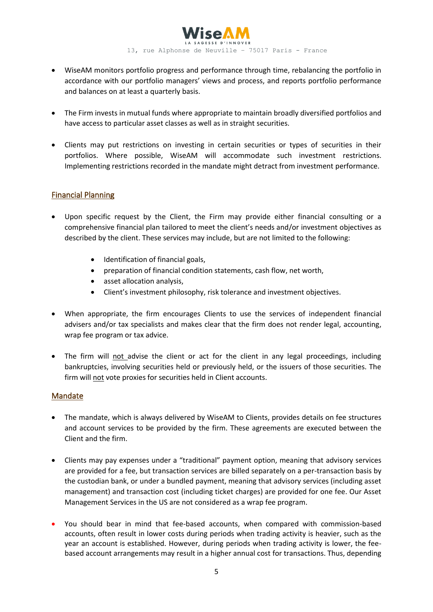

- WiseAM monitors portfolio progress and performance through time, rebalancing the portfolio in accordance with our portfolio managers' views and process, and reports portfolio performance and balances on at least a quarterly basis.
- The Firm invests in mutual funds where appropriate to maintain broadly diversified portfolios and have access to particular asset classes as well as in straight securities.
- Clients may put restrictions on investing in certain securities or types of securities in their portfolios. Where possible, WiseAM will accommodate such investment restrictions. Implementing restrictions recorded in the mandate might detract from investment performance.

### Financial Planning

- Upon specific request by the Client, the Firm may provide either financial consulting or a comprehensive financial plan tailored to meet the client's needs and/or investment objectives as described by the client. These services may include, but are not limited to the following:
	- Identification of financial goals,
	- preparation of financial condition statements, cash flow, net worth,
	- asset allocation analysis,
	- Client's investment philosophy, risk tolerance and investment objectives.
- When appropriate, the firm encourages Clients to use the services of independent financial advisers and/or tax specialists and makes clear that the firm does not render legal, accounting, wrap fee program or tax advice.
- The firm will not advise the client or act for the client in any legal proceedings, including bankruptcies, involving securities held or previously held, or the issuers of those securities. The firm will not vote proxies for securities held in Client accounts.

#### Mandate

- The mandate, which is always delivered by WiseAM to Clients, provides details on fee structures and account services to be provided by the firm. These agreements are executed between the Client and the firm.
- Clients may pay expenses under a "traditional" payment option, meaning that advisory services are provided for a fee, but transaction services are billed separately on a per-transaction basis by the custodian bank, or under a bundled payment, meaning that advisory services (including asset management) and transaction cost (including ticket charges) are provided for one fee. Our Asset Management Services in the US are not considered as a wrap fee program.
- You should bear in mind that fee-based accounts, when compared with commission-based accounts, often result in lower costs during periods when trading activity is heavier, such as the year an account is established. However, during periods when trading activity is lower, the feebased account arrangements may result in a higher annual cost for transactions. Thus, depending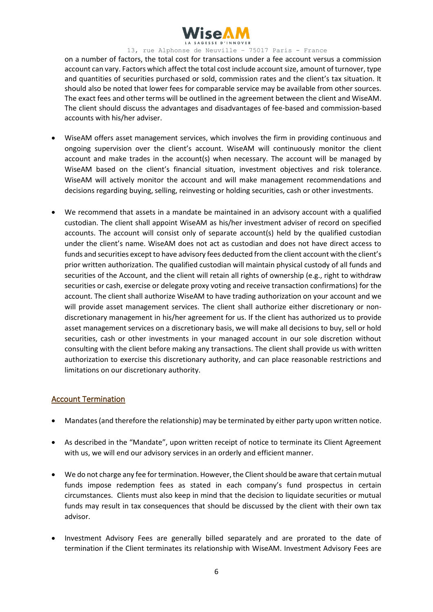

on a number of factors, the total cost for transactions under a fee account versus a commission account can vary. Factors which affect the total cost include account size, amount of turnover, type and quantities of securities purchased or sold, commission rates and the client's tax situation. It should also be noted that lower fees for comparable service may be available from other sources. The exact fees and other terms will be outlined in the agreement between the client and WiseAM. The client should discuss the advantages and disadvantages of fee-based and commission-based accounts with his/her adviser.

- WiseAM offers asset management services, which involves the firm in providing continuous and ongoing supervision over the client's account. WiseAM will continuously monitor the client account and make trades in the account(s) when necessary. The account will be managed by WiseAM based on the client's financial situation, investment objectives and risk tolerance. WiseAM will actively monitor the account and will make management recommendations and decisions regarding buying, selling, reinvesting or holding securities, cash or other investments.
- We recommend that assets in a mandate be maintained in an advisory account with a qualified custodian. The client shall appoint WiseAM as his/her investment adviser of record on specified accounts. The account will consist only of separate account(s) held by the qualified custodian under the client's name. WiseAM does not act as custodian and does not have direct access to funds and securities except to have advisory fees deducted from the client account with the client's prior written authorization. The qualified custodian will maintain physical custody of all funds and securities of the Account, and the client will retain all rights of ownership (e.g., right to withdraw securities or cash, exercise or delegate proxy voting and receive transaction confirmations) for the account. The client shall authorize WiseAM to have trading authorization on your account and we will provide asset management services. The client shall authorize either discretionary or nondiscretionary management in his/her agreement for us. If the client has authorized us to provide asset management services on a discretionary basis, we will make all decisions to buy, sell or hold securities, cash or other investments in your managed account in our sole discretion without consulting with the client before making any transactions. The client shall provide us with written authorization to exercise this discretionary authority, and can place reasonable restrictions and limitations on our discretionary authority.

#### Account Termination

- Mandates (and therefore the relationship) may be terminated by either party upon written notice.
- As described in the "Mandate", upon written receipt of notice to terminate its Client Agreement with us, we will end our advisory services in an orderly and efficient manner.
- We do not charge any fee for termination. However, the Client should be aware that certain mutual funds impose redemption fees as stated in each company's fund prospectus in certain circumstances. Clients must also keep in mind that the decision to liquidate securities or mutual funds may result in tax consequences that should be discussed by the client with their own tax advisor.
- Investment Advisory Fees are generally billed separately and are prorated to the date of termination if the Client terminates its relationship with WiseAM. Investment Advisory Fees are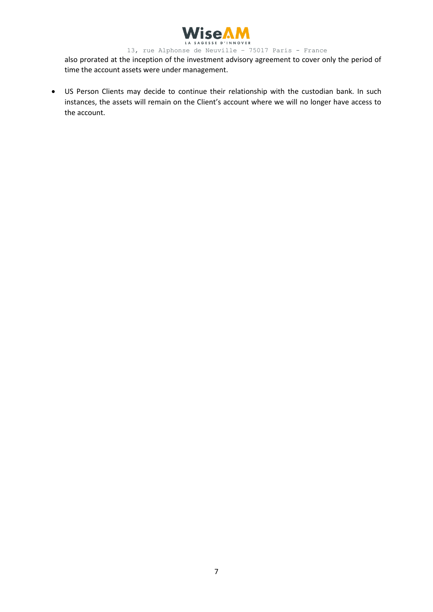

also prorated at the inception of the investment advisory agreement to cover only the period of time the account assets were under management.

• US Person Clients may decide to continue their relationship with the custodian bank. In such instances, the assets will remain on the Client's account where we will no longer have access to the account.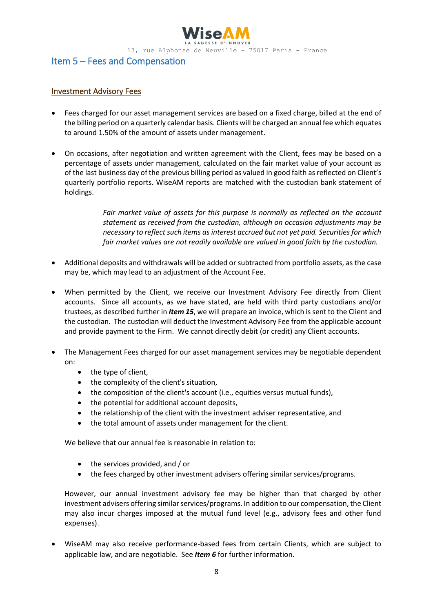

## Item 5 – Fees and Compensation

#### Investment Advisory Fees

- Fees charged for our asset management services are based on a fixed charge, billed at the end of the billing period on a quarterly calendar basis. Clients will be charged an annual fee which equates to around 1.50% of the amount of assets under management.
- On occasions, after negotiation and written agreement with the Client, fees may be based on a percentage of assets under management, calculated on the fair market value of your account as of the last business day of the previous billing period as valued in good faith as reflected on Client's quarterly portfolio reports. WiseAM reports are matched with the custodian bank statement of holdings.

*Fair market value of assets for this purpose is normally as reflected on the account statement as received from the custodian, although on occasion adjustments may be necessary to reflect such items as interest accrued but not yet paid. Securities for which fair market values are not readily available are valued in good faith by the custodian.*

- Additional deposits and withdrawals will be added or subtracted from portfolio assets, as the case may be, which may lead to an adjustment of the Account Fee.
- When permitted by the Client, we receive our Investment Advisory Fee directly from Client accounts. Since all accounts, as we have stated, are held with third party custodians and/or trustees, as described further in *Item 15*, we will prepare an invoice, which is sent to the Client and the custodian. The custodian will deduct the Investment Advisory Fee from the applicable account and provide payment to the Firm. We cannot directly debit (or credit) any Client accounts.
- The Management Fees charged for our asset management services may be negotiable dependent on:
	- the type of client,
	- the complexity of the client's situation,
	- the composition of the client's account (i.e., equities versus mutual funds),
	- the potential for additional account deposits,
	- the relationship of the client with the investment adviser representative, and
	- the total amount of assets under management for the client.

We believe that our annual fee is reasonable in relation to:

- the services provided, and / or
- the fees charged by other investment advisers offering similar services/programs.

However, our annual investment advisory fee may be higher than that charged by other investment advisers offering similar services/programs. In addition to our compensation, the Client may also incur charges imposed at the mutual fund level (e.g., advisory fees and other fund expenses).

• WiseAM may also receive performance-based fees from certain Clients, which are subject to applicable law, and are negotiable. See *Item 6* for further information.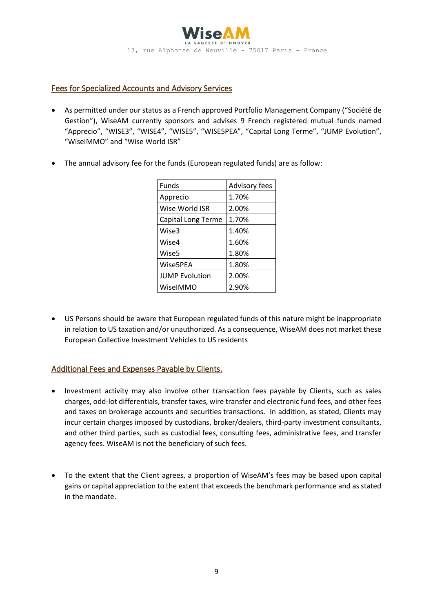

#### Fees for Specialized Accounts and Advisory Services

- As permitted under our status as a French approved Portfolio Management Company ("Société de Gestion"), WiseAM currently sponsors and advises 9 French registered mutual funds named "Apprecio", "WISE3", "WISE4", "WISE5", "WISE5PEA", "Capital Long Terme", "JUMP Evolution", "WiseIMMO" and "Wise World ISR"
- The annual advisory fee for the funds (European regulated funds) are as follow:

| Funds                 | <b>Advisory fees</b> |  |
|-----------------------|----------------------|--|
| Apprecio              | 1.70%                |  |
| Wise World ISR        | 2.00%                |  |
| Capital Long Terme    | 1.70%                |  |
| Wise3                 | 1.40%                |  |
| Wise4                 | 1.60%                |  |
| Wise5                 | 1.80%                |  |
| Wise5PEA              | 1.80%                |  |
| <b>JUMP Evolution</b> | 2.00%                |  |
| WiselMMO              | 2.90%                |  |

• US Persons should be aware that European regulated funds of this nature might be inappropriate in relation to US taxation and/or unauthorized. As a consequence, WiseAM does not market these European Collective Investment Vehicles to US residents

## Additional Fees and Expenses Payable by Clients.

- Investment activity may also involve other transaction fees payable by Clients, such as sales charges, odd-lot differentials, transfer taxes, wire transfer and electronic fund fees, and other fees and taxes on brokerage accounts and securities transactions. In addition, as stated, Clients may incur certain charges imposed by custodians, broker/dealers, third-party investment consultants, and other third parties, such as custodial fees, consulting fees, administrative fees, and transfer agency fees. WiseAM is not the beneficiary of such fees.
- To the extent that the Client agrees, a proportion of WiseAM's fees may be based upon capital gains or capital appreciation to the extent that exceeds the benchmark performance and as stated in the mandate.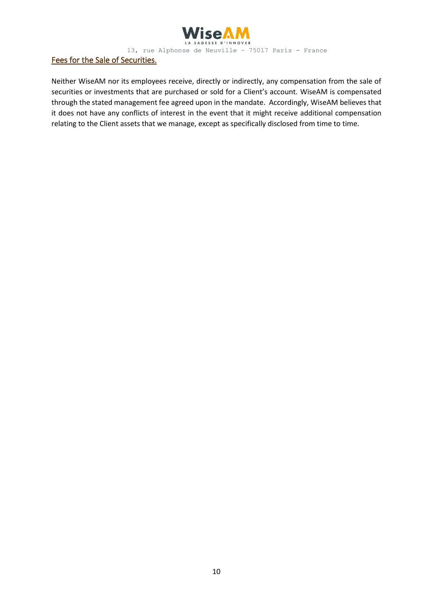

### Fees for the Sale of Securities.

Neither WiseAM nor its employees receive, directly or indirectly, any compensation from the sale of securities or investments that are purchased or sold for a Client's account. WiseAM is compensated through the stated management fee agreed upon in the mandate. Accordingly, WiseAM believes that it does not have any conflicts of interest in the event that it might receive additional compensation relating to the Client assets that we manage, except as specifically disclosed from time to time.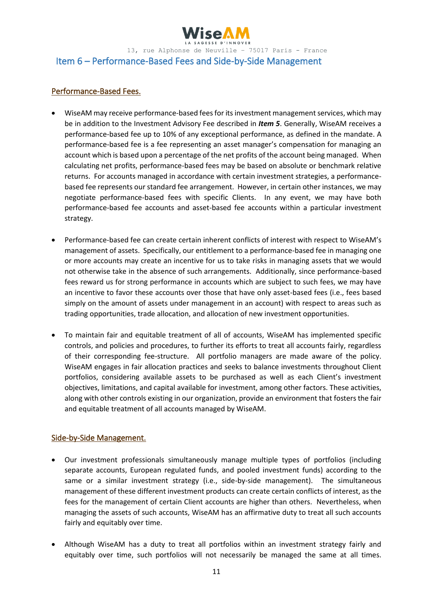

# Item 6 – Performance-Based Fees and Side-by-Side Management

#### Performance-Based Fees.

- WiseAM may receive performance-based fees for its investment management services, which may be in addition to the Investment Advisory Fee described in *Item 5*. Generally, WiseAM receives a performance-based fee up to 10% of any exceptional performance, as defined in the mandate. A performance-based fee is a fee representing an asset manager's compensation for managing an account which is based upon a percentage of the net profits of the account being managed. When calculating net profits, performance-based fees may be based on absolute or benchmark relative returns. For accounts managed in accordance with certain investment strategies, a performancebased fee represents our standard fee arrangement. However, in certain other instances, we may negotiate performance-based fees with specific Clients. In any event, we may have both performance-based fee accounts and asset-based fee accounts within a particular investment strategy.
- Performance-based fee can create certain inherent conflicts of interest with respect to WiseAM's management of assets. Specifically, our entitlement to a performance-based fee in managing one or more accounts may create an incentive for us to take risks in managing assets that we would not otherwise take in the absence of such arrangements. Additionally, since performance-based fees reward us for strong performance in accounts which are subject to such fees, we may have an incentive to favor these accounts over those that have only asset-based fees (i.e., fees based simply on the amount of assets under management in an account) with respect to areas such as trading opportunities, trade allocation, and allocation of new investment opportunities.
- To maintain fair and equitable treatment of all of accounts, WiseAM has implemented specific controls, and policies and procedures, to further its efforts to treat all accounts fairly, regardless of their corresponding fee-structure. All portfolio managers are made aware of the policy. WiseAM engages in fair allocation practices and seeks to balance investments throughout Client portfolios, considering available assets to be purchased as well as each Client's investment objectives, limitations, and capital available for investment, among other factors. These activities, along with other controls existing in our organization, provide an environment that fosters the fair and equitable treatment of all accounts managed by WiseAM.

#### Side-by-Side Management.

- Our investment professionals simultaneously manage multiple types of portfolios (including separate accounts, European regulated funds, and pooled investment funds) according to the same or a similar investment strategy (i.e., side-by-side management). The simultaneous management of these different investment products can create certain conflicts of interest, as the fees for the management of certain Client accounts are higher than others. Nevertheless, when managing the assets of such accounts, WiseAM has an affirmative duty to treat all such accounts fairly and equitably over time.
- Although WiseAM has a duty to treat all portfolios within an investment strategy fairly and equitably over time, such portfolios will not necessarily be managed the same at all times.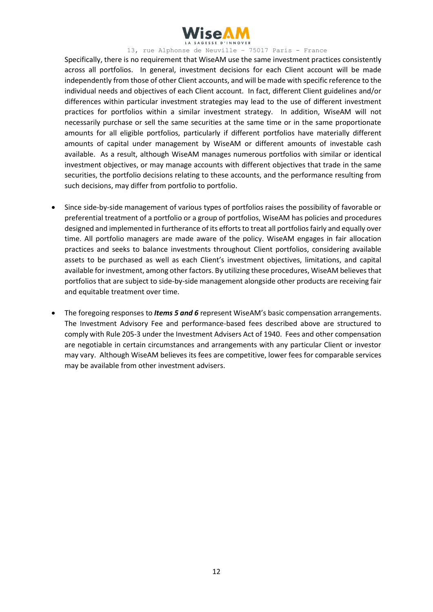

Specifically, there is no requirement that WiseAM use the same investment practices consistently across all portfolios. In general, investment decisions for each Client account will be made independently from those of other Client accounts, and will be made with specific reference to the individual needs and objectives of each Client account. In fact, different Client guidelines and/or differences within particular investment strategies may lead to the use of different investment practices for portfolios within a similar investment strategy. In addition, WiseAM will not necessarily purchase or sell the same securities at the same time or in the same proportionate amounts for all eligible portfolios, particularly if different portfolios have materially different amounts of capital under management by WiseAM or different amounts of investable cash available. As a result, although WiseAM manages numerous portfolios with similar or identical investment objectives, or may manage accounts with different objectives that trade in the same securities, the portfolio decisions relating to these accounts, and the performance resulting from such decisions, may differ from portfolio to portfolio.

- Since side-by-side management of various types of portfolios raises the possibility of favorable or preferential treatment of a portfolio or a group of portfolios, WiseAM has policies and procedures designed and implemented in furtherance of its efforts to treat all portfolios fairly and equally over time. All portfolio managers are made aware of the policy. WiseAM engages in fair allocation practices and seeks to balance investments throughout Client portfolios, considering available assets to be purchased as well as each Client's investment objectives, limitations, and capital available for investment, among other factors. By utilizing these procedures, WiseAM believes that portfolios that are subject to side-by-side management alongside other products are receiving fair and equitable treatment over time.
- The foregoing responses to *Items 5 and 6* represent WiseAM's basic compensation arrangements. The Investment Advisory Fee and performance-based fees described above are structured to comply with Rule 205-3 under the Investment Advisers Act of 1940. Fees and other compensation are negotiable in certain circumstances and arrangements with any particular Client or investor may vary. Although WiseAM believes its fees are competitive, lower fees for comparable services may be available from other investment advisers.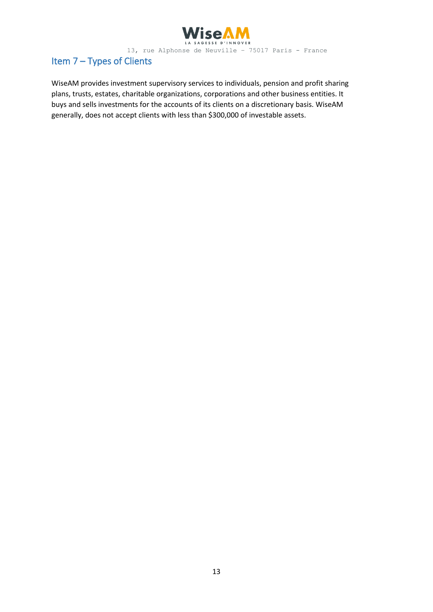

# Item 7 – Types of Clients

WiseAM provides investment supervisory services to individuals, pension and profit sharing plans, trusts, estates, charitable organizations, corporations and other business entities. It buys and sells investments for the accounts of its clients on a discretionary basis. WiseAM generally, does not accept clients with less than \$300,000 of investable assets.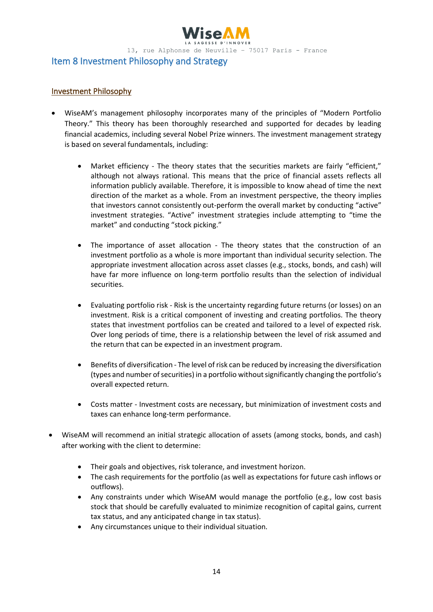

### Item 8 Investment Philosophy and Strategy

#### Investment Philosophy

- WiseAM's management philosophy incorporates many of the principles of "Modern Portfolio Theory." This theory has been thoroughly researched and supported for decades by leading financial academics, including several Nobel Prize winners. The investment management strategy is based on several fundamentals, including:
	- Market efficiency The theory states that the securities markets are fairly "efficient," although not always rational. This means that the price of financial assets reflects all information publicly available. Therefore, it is impossible to know ahead of time the next direction of the market as a whole. From an investment perspective, the theory implies that investors cannot consistently out‐perform the overall market by conducting "active" investment strategies. "Active" investment strategies include attempting to "time the market" and conducting "stock picking."
	- The importance of asset allocation The theory states that the construction of an investment portfolio as a whole is more important than individual security selection. The appropriate investment allocation across asset classes (e.g., stocks, bonds, and cash) will have far more influence on long-term portfolio results than the selection of individual securities.
	- Evaluating portfolio risk Risk is the uncertainty regarding future returns (or losses) on an investment. Risk is a critical component of investing and creating portfolios. The theory states that investment portfolios can be created and tailored to a level of expected risk. Over long periods of time, there is a relationship between the level of risk assumed and the return that can be expected in an investment program.
	- Benefits of diversification ‐ The level of risk can be reduced by increasing the diversification (types and number of securities) in a portfolio without significantly changing the portfolio's overall expected return.
	- Costs matter Investment costs are necessary, but minimization of investment costs and taxes can enhance long‐term performance.
- WiseAM will recommend an initial strategic allocation of assets (among stocks, bonds, and cash) after working with the client to determine:
	- Their goals and objectives, risk tolerance, and investment horizon.
	- The cash requirements for the portfolio (as well as expectations for future cash inflows or outflows).
	- Any constraints under which WiseAM would manage the portfolio (e.g., low cost basis stock that should be carefully evaluated to minimize recognition of capital gains, current tax status, and any anticipated change in tax status).
	- Any circumstances unique to their individual situation.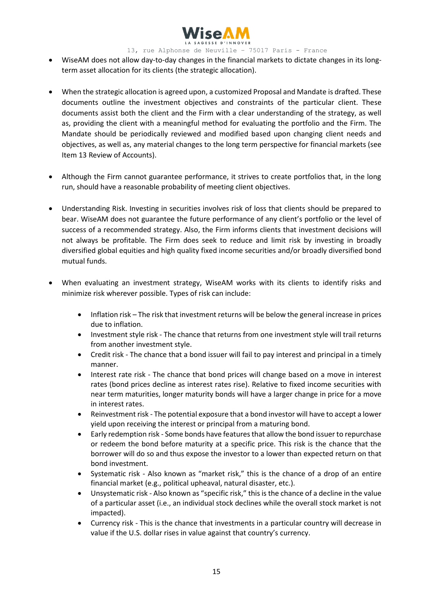

- WiseAM does not allow day‐to‐day changes in the financial markets to dictate changes in its long‐ term asset allocation for its clients (the strategic allocation).
- When the strategic allocation is agreed upon, a customized Proposal and Mandate is drafted. These documents outline the investment objectives and constraints of the particular client. These documents assist both the client and the Firm with a clear understanding of the strategy, as well as, providing the client with a meaningful method for evaluating the portfolio and the Firm. The Mandate should be periodically reviewed and modified based upon changing client needs and objectives, as well as, any material changes to the long term perspective for financial markets (see Item 13 Review of Accounts).
- Although the Firm cannot guarantee performance, it strives to create portfolios that, in the long run, should have a reasonable probability of meeting client objectives.
- Understanding Risk. Investing in securities involves risk of loss that clients should be prepared to bear. WiseAM does not guarantee the future performance of any client's portfolio or the level of success of a recommended strategy. Also, the Firm informs clients that investment decisions will not always be profitable. The Firm does seek to reduce and limit risk by investing in broadly diversified global equities and high quality fixed income securities and/or broadly diversified bond mutual funds.
- When evaluating an investment strategy, WiseAM works with its clients to identify risks and minimize risk wherever possible. Types of risk can include:
	- Inflation risk The risk that investment returns will be below the general increase in prices due to inflation.
	- Investment style risk The chance that returns from one investment style will trail returns from another investment style.
	- Credit risk The chance that a bond issuer will fail to pay interest and principal in a timely manner.
	- Interest rate risk The chance that bond prices will change based on a move in interest rates (bond prices decline as interest rates rise). Relative to fixed income securities with near term maturities, longer maturity bonds will have a larger change in price for a move in interest rates.
	- Reinvestment risk The potential exposure that a bond investor will have to accept a lower yield upon receiving the interest or principal from a maturing bond.
	- Early redemption risk Some bonds have features that allow the bond issuer to repurchase or redeem the bond before maturity at a specific price. This risk is the chance that the borrower will do so and thus expose the investor to a lower than expected return on that bond investment.
	- Systematic risk Also known as "market risk," this is the chance of a drop of an entire financial market (e.g., political upheaval, natural disaster, etc.).
	- Unsystematic risk Also known as "specific risk," this is the chance of a decline in the value of a particular asset (i.e., an individual stock declines while the overall stock market is not impacted).
	- Currency risk This is the chance that investments in a particular country will decrease in value if the U.S. dollar rises in value against that country's currency.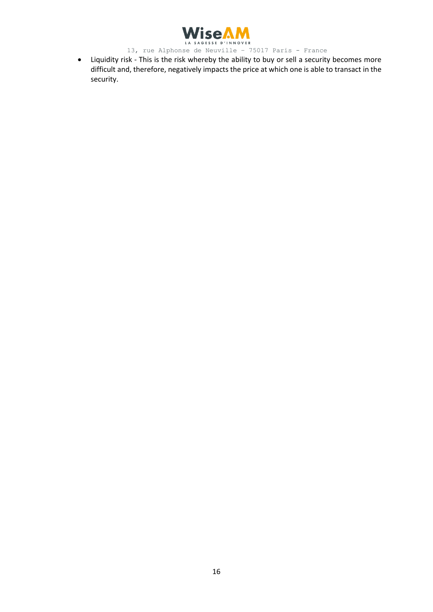

WISEAM<br>13, rue Alphonse de Neuville – 75017 Paris – France

• Liquidity risk - This is the risk whereby the ability to buy or sell a security becomes more difficult and, therefore, negatively impacts the price at which one is able to transact in the security.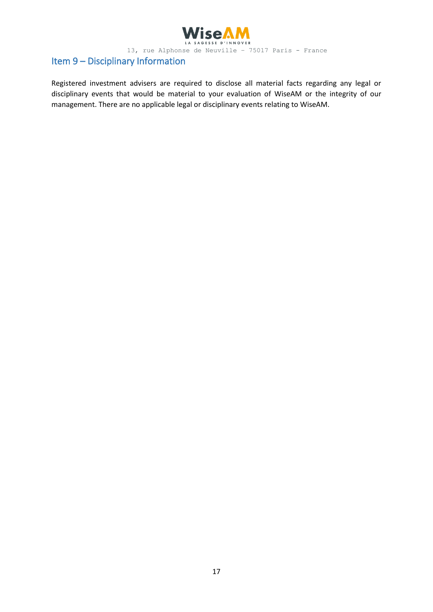

# Item 9 – Disciplinary Information

Registered investment advisers are required to disclose all material facts regarding any legal or disciplinary events that would be material to your evaluation of WiseAM or the integrity of our management. There are no applicable legal or disciplinary events relating to WiseAM.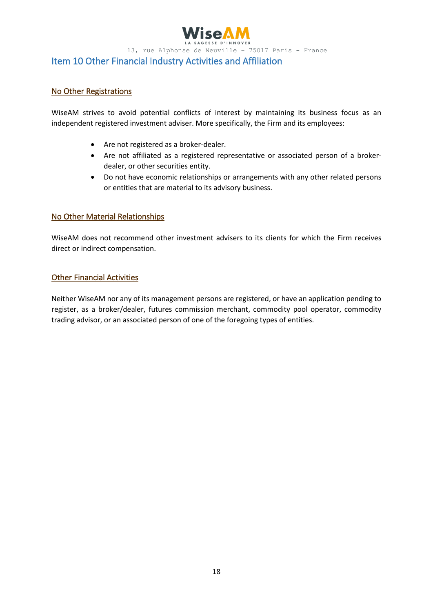

#### Item 10 Other Financial Industry Activities and Affiliation

#### No Other Registrations

WiseAM strives to avoid potential conflicts of interest by maintaining its business focus as an independent registered investment adviser. More specifically, the Firm and its employees:

- Are not registered as a broker-dealer.
- Are not affiliated as a registered representative or associated person of a broker‐ dealer, or other securities entity.
- Do not have economic relationships or arrangements with any other related persons or entities that are material to its advisory business.

#### No Other Material Relationships

WiseAM does not recommend other investment advisers to its clients for which the Firm receives direct or indirect compensation.

#### Other Financial Activities

Neither WiseAM nor any of its management persons are registered, or have an application pending to register, as a broker/dealer, futures commission merchant, commodity pool operator, commodity trading advisor, or an associated person of one of the foregoing types of entities.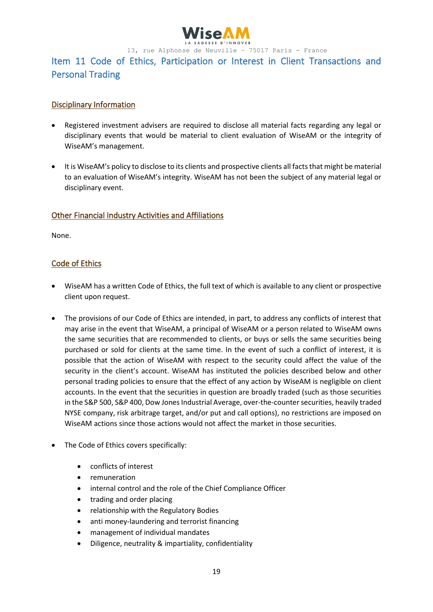

# Item 11 Code of Ethics, Participation or Interest in Client Transactions and Personal Trading

### Disciplinary Information

- Registered investment advisers are required to disclose all material facts regarding any legal or disciplinary events that would be material to client evaluation of WiseAM or the integrity of WiseAM's management.
- It is WiseAM's policy to disclose to its clients and prospective clients all facts that might be material to an evaluation of WiseAM's integrity. WiseAM has not been the subject of any material legal or disciplinary event.

### Other Financial Industry Activities and Affiliations

None.

### Code of Ethics

- WiseAM has a written Code of Ethics, the full text of which is available to any client or prospective client upon request.
- The provisions of our Code of Ethics are intended, in part, to address any conflicts of interest that may arise in the event that WiseAM, a principal of WiseAM or a person related to WiseAM owns the same securities that are recommended to clients, or buys or sells the same securities being purchased or sold for clients at the same time. In the event of such a conflict of interest, it is possible that the action of WiseAM with respect to the security could affect the value of the security in the client's account. WiseAM has instituted the policies described below and other personal trading policies to ensure that the effect of any action by WiseAM is negligible on client accounts. In the event that the securities in question are broadly traded (such as those securities in the S&P 500, S&P 400, Dow Jones Industrial Average, over-the-counter securities, heavily traded NYSE company, risk arbitrage target, and/or put and call options), no restrictions are imposed on WiseAM actions since those actions would not affect the market in those securities.
- The Code of Ethics covers specifically:
	- conflicts of interest
	- remuneration
	- internal control and the role of the Chief Compliance Officer
	- trading and order placing
	- relationship with the Regulatory Bodies
	- anti money-laundering and terrorist financing
	- management of individual mandates
	- Diligence, neutrality & impartiality, confidentiality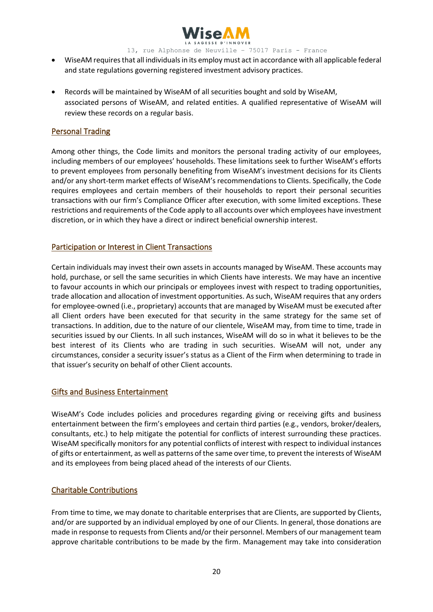

- WiseAM requires that all individuals in its employ must act in accordance with all applicable federal and state regulations governing registered investment advisory practices.
- Records will be maintained by WiseAM of all securities bought and sold by WiseAM, associated persons of WiseAM, and related entities. A qualified representative of WiseAM will review these records on a regular basis.

#### Personal Trading

Among other things, the Code limits and monitors the personal trading activity of our employees, including members of our employees' households. These limitations seek to further WiseAM's efforts to prevent employees from personally benefiting from WiseAM's investment decisions for its Clients and/or any short-term market effects of WiseAM's recommendations to Clients. Specifically, the Code requires employees and certain members of their households to report their personal securities transactions with our firm's Compliance Officer after execution, with some limited exceptions. These restrictions and requirements of the Code apply to all accounts over which employees have investment discretion, or in which they have a direct or indirect beneficial ownership interest.

### Participation or Interest in Client Transactions

Certain individuals may invest their own assets in accounts managed by WiseAM. These accounts may hold, purchase, or sell the same securities in which Clients have interests. We may have an incentive to favour accounts in which our principals or employees invest with respect to trading opportunities, trade allocation and allocation of investment opportunities. As such, WiseAM requires that any orders for employee-owned (i.e., proprietary) accounts that are managed by WiseAM must be executed after all Client orders have been executed for that security in the same strategy for the same set of transactions. In addition, due to the nature of our clientele, WiseAM may, from time to time, trade in securities issued by our Clients. In all such instances, WiseAM will do so in what it believes to be the best interest of its Clients who are trading in such securities. WiseAM will not, under any circumstances, consider a security issuer's status as a Client of the Firm when determining to trade in that issuer's security on behalf of other Client accounts.

#### Gifts and Business Entertainment

WiseAM's Code includes policies and procedures regarding giving or receiving gifts and business entertainment between the firm's employees and certain third parties (e.g., vendors, broker/dealers, consultants, etc.) to help mitigate the potential for conflicts of interest surrounding these practices. WiseAM specifically monitors for any potential conflicts of interest with respect to individual instances of gifts or entertainment, as well as patterns of the same over time, to prevent the interests of WiseAM and its employees from being placed ahead of the interests of our Clients.

#### Charitable Contributions

From time to time, we may donate to charitable enterprises that are Clients, are supported by Clients, and/or are supported by an individual employed by one of our Clients. In general, those donations are made in response to requests from Clients and/or their personnel. Members of our management team approve charitable contributions to be made by the firm. Management may take into consideration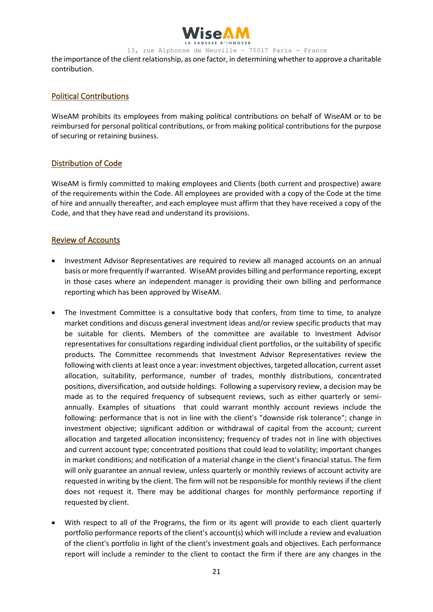

the importance of the client relationship, as one factor, in determining whether to approve a charitable contribution.

#### Political Contributions

WiseAM prohibits its employees from making political contributions on behalf of WiseAM or to be reimbursed for personal political contributions, or from making political contributions for the purpose of securing or retaining business.

#### Distribution of Code

WiseAM is firmly committed to making employees and Clients (both current and prospective) aware of the requirements within the Code. All employees are provided with a copy of the Code at the time of hire and annually thereafter, and each employee must affirm that they have received a copy of the Code, and that they have read and understand its provisions.

#### Review of Accounts

- Investment Advisor Representatives are required to review all managed accounts on an annual basis or more frequently if warranted. WiseAM provides billing and performance reporting, except in those cases where an independent manager is providing their own billing and performance reporting which has been approved by WiseAM.
- The Investment Committee is a consultative body that confers, from time to time, to analyze market conditions and discuss general investment ideas and/or review specific products that may be suitable for clients. Members of the committee are available to Investment Advisor representatives for consultations regarding individual client portfolios, or the suitability of specific products. The Committee recommends that Investment Advisor Representatives review the following with clients at least once a year: investment objectives, targeted allocation, current asset allocation, suitability, performance, number of trades, monthly distributions, concentrated positions, diversification, and outside holdings. Following a supervisory review, a decision may be made as to the required frequency of subsequent reviews, such as either quarterly or semiannually. Examples of situations that could warrant monthly account reviews include the following: performance that is not in line with the client's "downside risk tolerance"; change in investment objective; significant addition or withdrawal of capital from the account; current allocation and targeted allocation inconsistency; frequency of trades not in line with objectives and current account type; concentrated positions that could lead to volatility; important changes in market conditions; and notification of a material change in the client's financial status. The firm will only guarantee an annual review, unless quarterly or monthly reviews of account activity are requested in writing by the client. The firm will not be responsible for monthly reviews if the client does not request it. There may be additional charges for monthly performance reporting if requested by client.
- With respect to all of the Programs, the firm or its agent will provide to each client quarterly portfolio performance reports of the client's account(s) which will include a review and evaluation of the client's portfolio in light of the client's investment goals and objectives. Each performance report will include a reminder to the client to contact the firm if there are any changes in the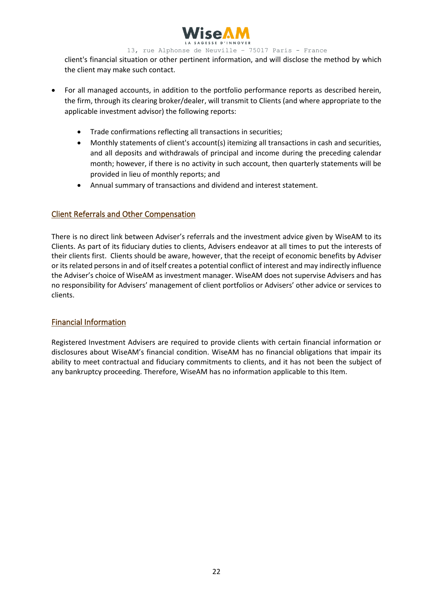

client's financial situation or other pertinent information, and will disclose the method by which the client may make such contact.

- For all managed accounts, in addition to the portfolio performance reports as described herein, the firm, through its clearing broker/dealer, will transmit to Clients (and where appropriate to the applicable investment advisor) the following reports:
	- Trade confirmations reflecting all transactions in securities;
	- Monthly statements of client's account(s) itemizing all transactions in cash and securities, and all deposits and withdrawals of principal and income during the preceding calendar month; however, if there is no activity in such account, then quarterly statements will be provided in lieu of monthly reports; and
	- Annual summary of transactions and dividend and interest statement.

#### Client Referrals and Other Compensation

There is no direct link between Adviser's referrals and the investment advice given by WiseAM to its Clients. As part of its fiduciary duties to clients, Advisers endeavor at all times to put the interests of their clients first. Clients should be aware, however, that the receipt of economic benefits by Adviser or its related persons in and of itself creates a potential conflict of interest and may indirectly influence the Adviser's choice of WiseAM as investment manager. WiseAM does not supervise Advisers and has no responsibility for Advisers' management of client portfolios or Advisers' other advice or services to clients.

#### Financial Information

Registered Investment Advisers are required to provide clients with certain financial information or disclosures about WiseAM's financial condition. WiseAM has no financial obligations that impair its ability to meet contractual and fiduciary commitments to clients, and it has not been the subject of any bankruptcy proceeding. Therefore, WiseAM has no information applicable to this Item.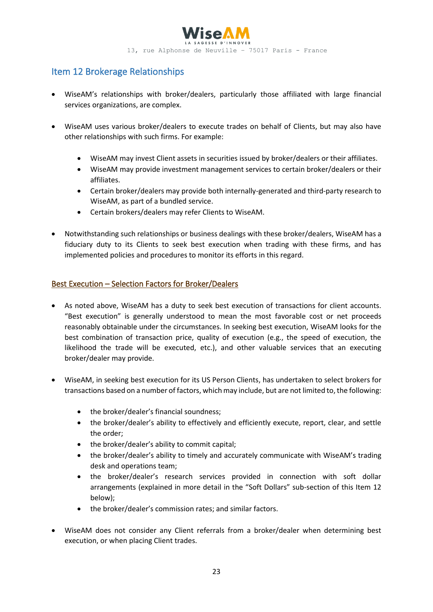

# Item 12 Brokerage Relationships

- WiseAM's relationships with broker/dealers, particularly those affiliated with large financial services organizations, are complex.
- WiseAM uses various broker/dealers to execute trades on behalf of Clients, but may also have other relationships with such firms. For example:
	- WiseAM may invest Client assets in securities issued by broker/dealers or their affiliates.
	- WiseAM may provide investment management services to certain broker/dealers or their affiliates.
	- Certain broker/dealers may provide both internally-generated and third-party research to WiseAM, as part of a bundled service.
	- Certain brokers/dealers may refer Clients to WiseAM.
- Notwithstanding such relationships or business dealings with these broker/dealers, WiseAM has a fiduciary duty to its Clients to seek best execution when trading with these firms, and has implemented policies and procedures to monitor its efforts in this regard.

### Best Execution – Selection Factors for Broker/Dealers

- As noted above, WiseAM has a duty to seek best execution of transactions for client accounts. "Best execution" is generally understood to mean the most favorable cost or net proceeds reasonably obtainable under the circumstances. In seeking best execution, WiseAM looks for the best combination of transaction price, quality of execution (e.g., the speed of execution, the likelihood the trade will be executed, etc.), and other valuable services that an executing broker/dealer may provide.
- WiseAM, in seeking best execution for its US Person Clients, has undertaken to select brokers for transactions based on a number of factors, which may include, but are not limited to, the following:
	- the broker/dealer's financial soundness;
	- the broker/dealer's ability to effectively and efficiently execute, report, clear, and settle the order;
	- the broker/dealer's ability to commit capital;
	- the broker/dealer's ability to timely and accurately communicate with WiseAM's trading desk and operations team;
	- the broker/dealer's research services provided in connection with soft dollar arrangements (explained in more detail in the "Soft Dollars" sub-section of this Item 12 below);
	- the broker/dealer's commission rates; and similar factors.
- WiseAM does not consider any Client referrals from a broker/dealer when determining best execution, or when placing Client trades.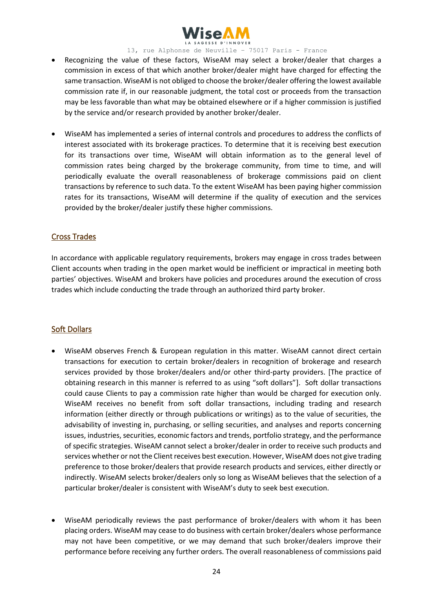

- Recognizing the value of these factors, WiseAM may select a broker/dealer that charges a commission in excess of that which another broker/dealer might have charged for effecting the same transaction. WiseAM is not obliged to choose the broker/dealer offering the lowest available commission rate if, in our reasonable judgment, the total cost or proceeds from the transaction may be less favorable than what may be obtained elsewhere or if a higher commission is justified by the service and/or research provided by another broker/dealer.
- WiseAM has implemented a series of internal controls and procedures to address the conflicts of interest associated with its brokerage practices. To determine that it is receiving best execution for its transactions over time, WiseAM will obtain information as to the general level of commission rates being charged by the brokerage community, from time to time, and will periodically evaluate the overall reasonableness of brokerage commissions paid on client transactions by reference to such data. To the extent WiseAM has been paying higher commission rates for its transactions, WiseAM will determine if the quality of execution and the services provided by the broker/dealer justify these higher commissions.

#### Cross Trades

In accordance with applicable regulatory requirements, brokers may engage in cross trades between Client accounts when trading in the open market would be inefficient or impractical in meeting both parties' objectives. WiseAM and brokers have policies and procedures around the execution of cross trades which include conducting the trade through an authorized third party broker.

#### Soft Dollars

- WiseAM observes French & European regulation in this matter. WiseAM cannot direct certain transactions for execution to certain broker/dealers in recognition of brokerage and research services provided by those broker/dealers and/or other third-party providers. [The practice of obtaining research in this manner is referred to as using "soft dollars"]. Soft dollar transactions could cause Clients to pay a commission rate higher than would be charged for execution only. WiseAM receives no benefit from soft dollar transactions, including trading and research information (either directly or through publications or writings) as to the value of securities, the advisability of investing in, purchasing, or selling securities, and analyses and reports concerning issues, industries, securities, economic factors and trends, portfolio strategy, and the performance of specific strategies. WiseAM cannot select a broker/dealer in order to receive such products and services whether or not the Client receives best execution. However, WiseAM does not give trading preference to those broker/dealers that provide research products and services, either directly or indirectly. WiseAM selects broker/dealers only so long as WiseAM believes that the selection of a particular broker/dealer is consistent with WiseAM's duty to seek best execution.
- WiseAM periodically reviews the past performance of broker/dealers with whom it has been placing orders. WiseAM may cease to do business with certain broker/dealers whose performance may not have been competitive, or we may demand that such broker/dealers improve their performance before receiving any further orders. The overall reasonableness of commissions paid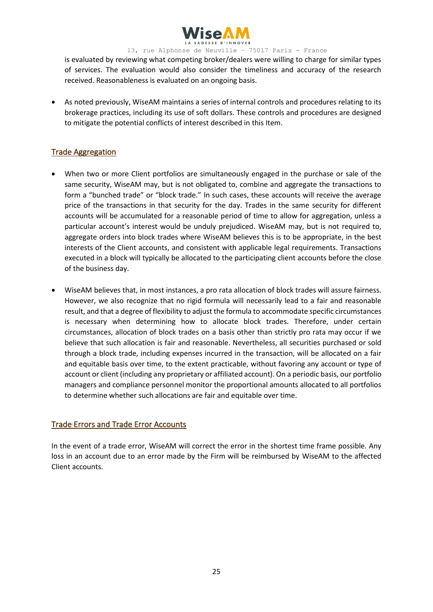

is evaluated by reviewing what competing broker/dealers were willing to charge for similar types of services. The evaluation would also consider the timeliness and accuracy of the research received. Reasonableness is evaluated on an ongoing basis.

• As noted previously, WiseAM maintains a series of internal controls and procedures relating to its brokerage practices, including its use of soft dollars. These controls and procedures are designed to mitigate the potential conflicts of interest described in this Item.

### Trade Aggregation

- When two or more Client portfolios are simultaneously engaged in the purchase or sale of the same security, WiseAM may, but is not obligated to, combine and aggregate the transactions to form a "bunched trade" or "block trade." In such cases, these accounts will receive the average price of the transactions in that security for the day. Trades in the same security for different accounts will be accumulated for a reasonable period of time to allow for aggregation, unless a particular account's interest would be unduly prejudiced. WiseAM may, but is not required to, aggregate orders into block trades where WiseAM believes this is to be appropriate, in the best interests of the Client accounts, and consistent with applicable legal requirements. Transactions executed in a block will typically be allocated to the participating client accounts before the close of the business day.
- WiseAM believes that, in most instances, a pro rata allocation of block trades will assure fairness. However, we also recognize that no rigid formula will necessarily lead to a fair and reasonable result, and that a degree of flexibility to adjust the formula to accommodate specific circumstances is necessary when determining how to allocate block trades. Therefore, under certain circumstances, allocation of block trades on a basis other than strictly pro rata may occur if we believe that such allocation is fair and reasonable. Nevertheless, all securities purchased or sold through a block trade, including expenses incurred in the transaction, will be allocated on a fair and equitable basis over time, to the extent practicable, without favoring any account or type of account or client (including any proprietary or affiliated account). On a periodic basis, our portfolio managers and compliance personnel monitor the proportional amounts allocated to all portfolios to determine whether such allocations are fair and equitable over time.

#### Trade Errors and Trade Error Accounts

In the event of a trade error, WiseAM will correct the error in the shortest time frame possible. Any loss in an account due to an error made by the Firm will be reimbursed by WiseAM to the affected Client accounts.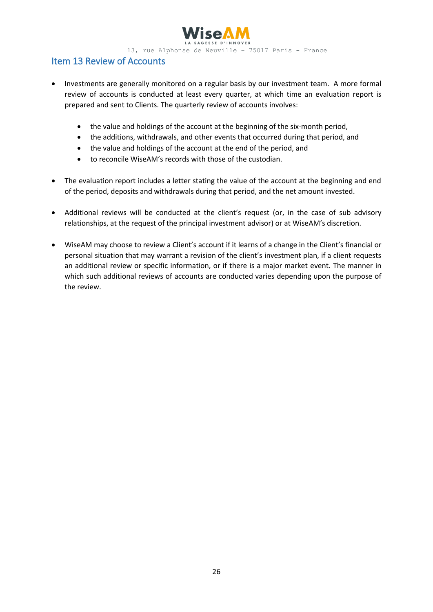

# Item 13 Review of Accounts

- Investments are generally monitored on a regular basis by our investment team. A more formal review of accounts is conducted at least every quarter, at which time an evaluation report is prepared and sent to Clients. The quarterly review of accounts involves:
	- the value and holdings of the account at the beginning of the six-month period,
	- the additions, withdrawals, and other events that occurred during that period, and
	- the value and holdings of the account at the end of the period, and
	- to reconcile WiseAM's records with those of the custodian.
- The evaluation report includes a letter stating the value of the account at the beginning and end of the period, deposits and withdrawals during that period, and the net amount invested.
- Additional reviews will be conducted at the client's request (or, in the case of sub advisory relationships, at the request of the principal investment advisor) or at WiseAM's discretion.
- WiseAM may choose to review a Client's account if it learns of a change in the Client's financial or personal situation that may warrant a revision of the client's investment plan, if a client requests an additional review or specific information, or if there is a major market event. The manner in which such additional reviews of accounts are conducted varies depending upon the purpose of the review.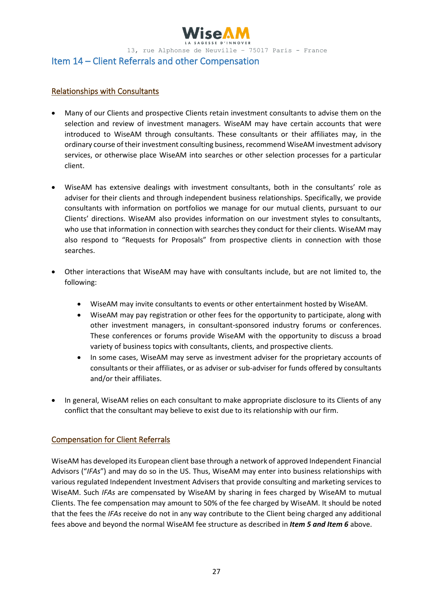

#### Item 14 – Client Referrals and other Compensation

#### Relationships with Consultants

- Many of our Clients and prospective Clients retain investment consultants to advise them on the selection and review of investment managers. WiseAM may have certain accounts that were introduced to WiseAM through consultants. These consultants or their affiliates may, in the ordinary course of their investment consulting business, recommend WiseAM investment advisory services, or otherwise place WiseAM into searches or other selection processes for a particular client.
- WiseAM has extensive dealings with investment consultants, both in the consultants' role as adviser for their clients and through independent business relationships. Specifically, we provide consultants with information on portfolios we manage for our mutual clients, pursuant to our Clients' directions. WiseAM also provides information on our investment styles to consultants, who use that information in connection with searches they conduct for their clients. WiseAM may also respond to "Requests for Proposals" from prospective clients in connection with those searches.
- Other interactions that WiseAM may have with consultants include, but are not limited to, the following:
	- WiseAM may invite consultants to events or other entertainment hosted by WiseAM.
	- WiseAM may pay registration or other fees for the opportunity to participate, along with other investment managers, in consultant-sponsored industry forums or conferences. These conferences or forums provide WiseAM with the opportunity to discuss a broad variety of business topics with consultants, clients, and prospective clients.
	- In some cases, WiseAM may serve as investment adviser for the proprietary accounts of consultants or their affiliates, or as adviser or sub-adviser for funds offered by consultants and/or their affiliates.
- In general, WiseAM relies on each consultant to make appropriate disclosure to its Clients of any conflict that the consultant may believe to exist due to its relationship with our firm.

#### Compensation for Client Referrals

WiseAM has developed its European client base through a network of approved Independent Financial Advisors ("*IFAs*") and may do so in the US. Thus, WiseAM may enter into business relationships with various regulated Independent Investment Advisers that provide consulting and marketing services to WiseAM. Such *IFAs* are compensated by WiseAM by sharing in fees charged by WiseAM to mutual Clients. The fee compensation may amount to 50% of the fee charged by WiseAM. It should be noted that the fees the *IFAs* receive do not in any way contribute to the Client being charged any additional fees above and beyond the normal WiseAM fee structure as described in *Item 5 and Item 6* above.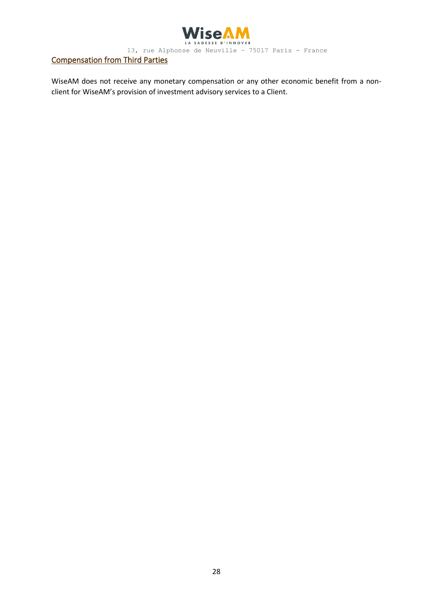

# Compensation from Third Parties

WiseAM does not receive any monetary compensation or any other economic benefit from a nonclient for WiseAM's provision of investment advisory services to a Client.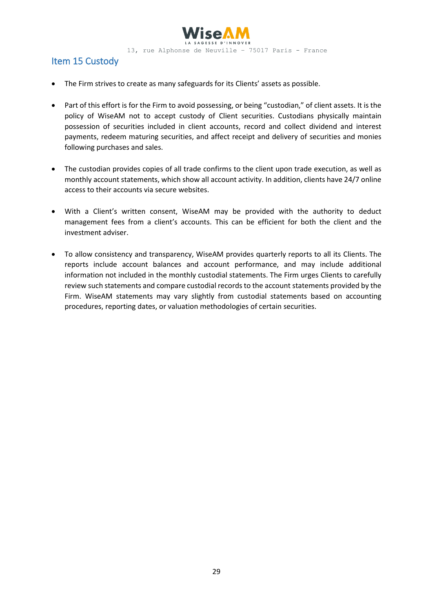

# Item 15 Custody

- The Firm strives to create as many safeguards for its Clients' assets as possible.
- Part of this effort is for the Firm to avoid possessing, or being "custodian," of client assets. It is the policy of WiseAM not to accept custody of Client securities. Custodians physically maintain possession of securities included in client accounts, record and collect dividend and interest payments, redeem maturing securities, and affect receipt and delivery of securities and monies following purchases and sales.
- The custodian provides copies of all trade confirms to the client upon trade execution, as well as monthly account statements, which show all account activity. In addition, clients have 24/7 online access to their accounts via secure websites.
- With a Client's written consent, WiseAM may be provided with the authority to deduct management fees from a client's accounts. This can be efficient for both the client and the investment adviser.
- To allow consistency and transparency, WiseAM provides quarterly reports to all its Clients. The reports include account balances and account performance, and may include additional information not included in the monthly custodial statements. The Firm urges Clients to carefully review such statements and compare custodial records to the account statements provided by the Firm. WiseAM statements may vary slightly from custodial statements based on accounting procedures, reporting dates, or valuation methodologies of certain securities.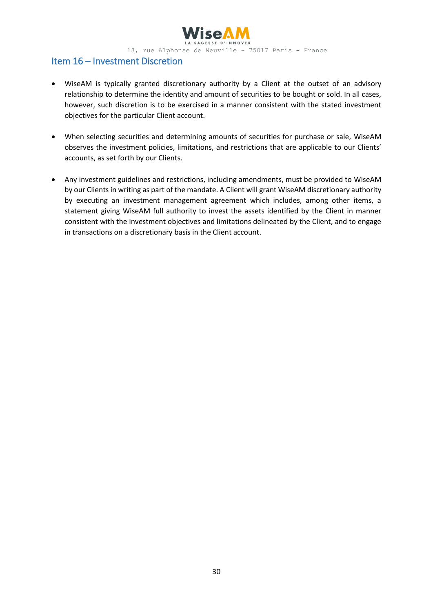

# Item 16 – Investment Discretion

- WiseAM is typically granted discretionary authority by a Client at the outset of an advisory relationship to determine the identity and amount of securities to be bought or sold. In all cases, however, such discretion is to be exercised in a manner consistent with the stated investment objectives for the particular Client account.
- When selecting securities and determining amounts of securities for purchase or sale, WiseAM observes the investment policies, limitations, and restrictions that are applicable to our Clients' accounts, as set forth by our Clients.
- Any investment guidelines and restrictions, including amendments, must be provided to WiseAM by our Clients in writing as part of the mandate. A Client will grant WiseAM discretionary authority by executing an investment management agreement which includes, among other items, a statement giving WiseAM full authority to invest the assets identified by the Client in manner consistent with the investment objectives and limitations delineated by the Client, and to engage in transactions on a discretionary basis in the Client account.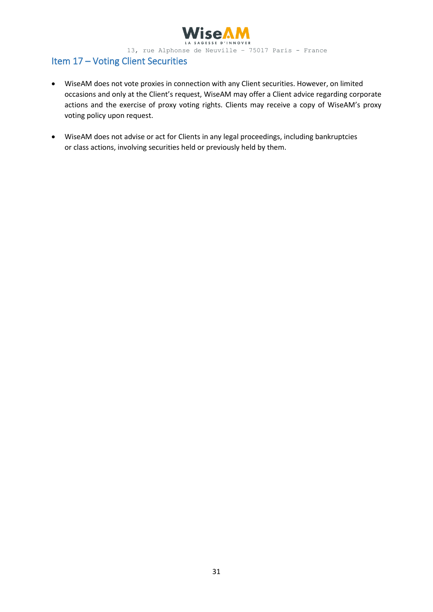

# Item 17 – Voting Client Securities

- WiseAM does not vote proxies in connection with any Client securities. However, on limited occasions and only at the Client's request, WiseAM may offer a Client advice regarding corporate actions and the exercise of proxy voting rights. Clients may receive a copy of WiseAM's proxy voting policy upon request.
- WiseAM does not advise or act for Clients in any legal proceedings, including bankruptcies or class actions, involving securities held or previously held by them.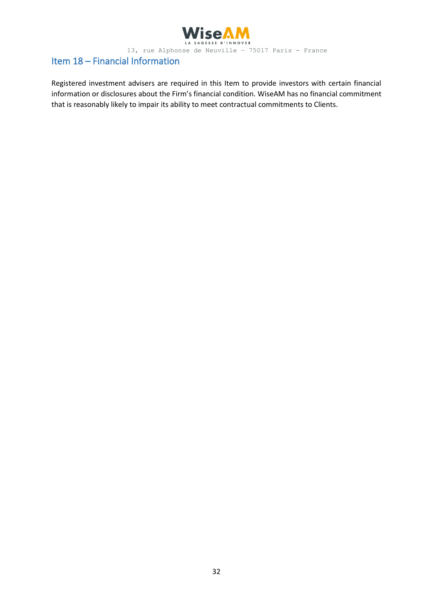

# Item 18 – Financial Information

Registered investment advisers are required in this Item to provide investors with certain financial information or disclosures about the Firm's financial condition. WiseAM has no financial commitment that is reasonably likely to impair its ability to meet contractual commitments to Clients.